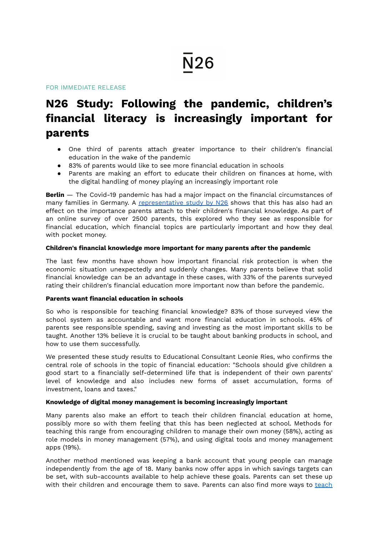FOR IMMEDIATE RELEASE

# **N26 Study: Following the pandemic, children's financial literacy is increasingly important for parents**

- One third of parents attach greater importance to their children's financial education in the wake of the pandemic
- 83% of parents would like to see more financial education in schools
- Parents are making an effort to educate their children on finances at home, with the digital handling of money playing an increasingly important role

**Berlin** — The Covid-19 pandemic has had a major impact on the financial circumstances of many families in Germany. A [representative](https://n26.com/en-de/pocket-money-and-financial-education) study by N26 shows that this has also had an effect on the importance parents attach to their children's financial knowledge. As part of an online survey of over 2500 parents, this explored who they see as responsible for financial education, which financial topics are particularly important and how they deal with pocket money.

# **Children's financial knowledge more important for many parents after the pandemic**

The last few months have shown how important financial risk protection is when the economic situation unexpectedly and suddenly changes. Many parents believe that solid financial knowledge can be an advantage in these cases, with 33% of the parents surveyed rating their children's financial education more important now than before the pandemic.

## **Parents want financial education in schools**

So who is responsible for teaching financial knowledge? 83% of those surveyed view the school system as accountable and want more financial education in schools. 45% of parents see responsible spending, saving and investing as the most important skills to be taught. Another 13% believe it is crucial to be taught about banking products in school, and how to use them successfully.

We presented these study results to Educational Consultant Leonie Ries, who confirms the central role of schools in the topic of financial education: "Schools should give children a good start to a financially self-determined life that is independent of their own parents' level of knowledge and also includes new forms of asset accumulation, forms of investment, loans and taxes."

## **Knowledge of digital money management is becoming increasingly important**

Many parents also make an effort to teach their children financial education at home, possibly more so with them feeling that this has been neglected at school. Methods for teaching this range from encouraging children to manage their own money (58%), acting as role models in money management (57%), and using digital tools and money management apps (19%).

Another method mentioned was keeping a bank account that young people can manage independently from the age of 18. Many banks now offer apps in which savings targets can be set, with sub-accounts available to help achieve these goals. Parents can set these up with their children and encourage them to save. Parents can also find more ways to [teach](https://n26.com/en-de/blog/guide-to-teaching-kids-about-money)